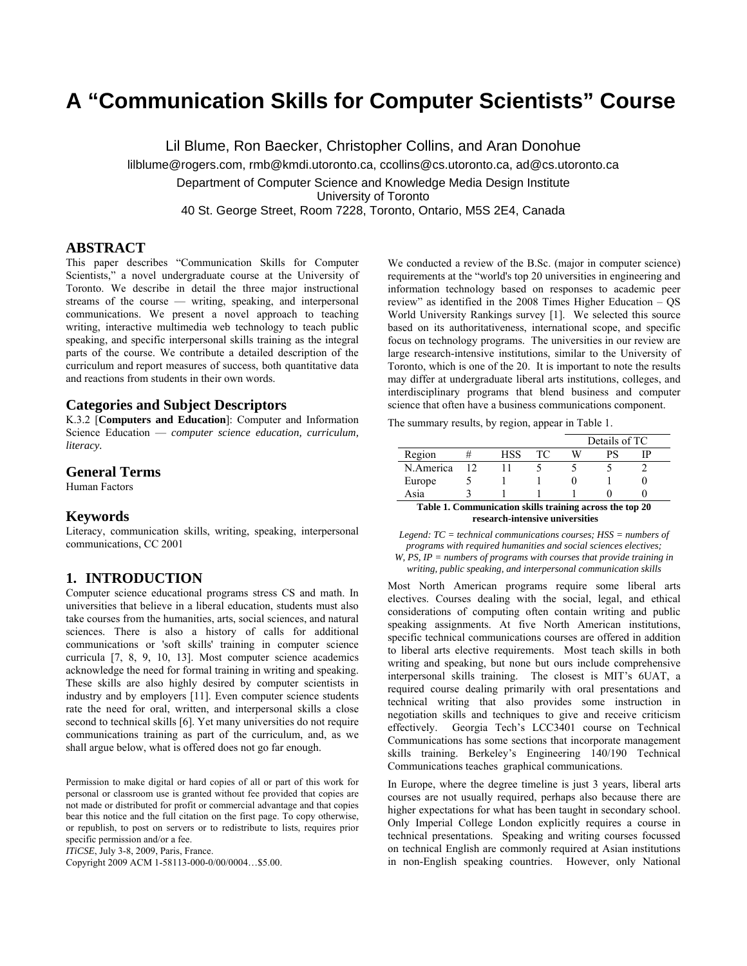# **A "Communication Skills for Computer Scientists" Course**

Lil Blume, Ron Baecker, Christopher Collins, and Aran Donohue lilblume@rogers.com, rmb@kmdi.utoronto.ca, ccollins@cs.utoronto.ca, ad@cs.utoronto.ca Department of Computer Science and Knowledge Media Design Institute University of Toronto 40 St. George Street, Room 7228, Toronto, Ontario, M5S 2E4, Canada

## **ABSTRACT**

This paper describes "Communication Skills for Computer Scientists," a novel undergraduate course at the University of Toronto. We describe in detail the three major instructional streams of the course — writing, speaking, and interpersonal communications. We present a novel approach to teaching writing, interactive multimedia web technology to teach public speaking, and specific interpersonal skills training as the integral parts of the course. We contribute a detailed description of the curriculum and report measures of success, both quantitative data and reactions from students in their own words.

## **Categories and Subject Descriptors**

K.3.2 [**Computers and Education**]: Computer and Information Science Education — *computer science education, curriculum, literacy.* 

# **General Terms**

Human Factors

#### **Keywords**

Literacy, communication skills, writing, speaking, interpersonal communications, CC 2001

## **1. INTRODUCTION**

Computer science educational programs stress CS and math. In universities that believe in a liberal education, students must also take courses from the humanities, arts, social sciences, and natural sciences. There is also a history of calls for additional communications or 'soft skills' training in computer science curricula [7, 8, 9, 10, 13]. Most computer science academics acknowledge the need for formal training in writing and speaking. These skills are also highly desired by computer scientists in industry and by employers [11]. Even computer science students rate the need for oral, written, and interpersonal skills a close second to technical skills [6]. Yet many universities do not require communications training as part of the curriculum, and, as we shall argue below, what is offered does not go far enough.

Permission to make digital or hard copies of all or part of this work for personal or classroom use is granted without fee provided that copies are not made or distributed for profit or commercial advantage and that copies bear this notice and the full citation on the first page. To copy otherwise, or republish, to post on servers or to redistribute to lists, requires prior specific permission and/or a fee.

*ITiCSE*, July 3-8, 2009, Paris, France.

Copyright 2009 ACM 1-58113-000-0/00/0004…\$5.00.

We conducted a review of the B.Sc. (major in computer science) requirements at the "world's top 20 universities in engineering and information technology based on responses to academic peer review" as identified in the 2008 Times Higher Education – QS World University Rankings survey [1]. We selected this source based on its authoritativeness, international scope, and specific focus on technology programs. The universities in our review are large research-intensive institutions, similar to the University of Toronto, which is one of the 20. It is important to note the results may differ at undergraduate liberal arts institutions, colleges, and interdisciplinary programs that blend business and computer science that often have a business communications component.

The summary results, by region, appear in Table 1.

|                                                          |    |     |    |   | Details of TC |  |  |
|----------------------------------------------------------|----|-----|----|---|---------------|--|--|
| Region                                                   |    | HSS | TС | W | РS            |  |  |
| N.America                                                | 12 |     |    |   |               |  |  |
| Europe                                                   |    |     |    |   |               |  |  |
| Asia                                                     |    |     |    |   |               |  |  |
| Table 1. Communication skills training across the top 20 |    |     |    |   |               |  |  |
| research-intensive universities                          |    |     |    |   |               |  |  |

*Legend: TC = technical communications courses; HSS = numbers of programs with required humanities and social sciences electives; W, PS, IP = numbers of programs with courses that provide training in* 

*writing, public speaking, and interpersonal communication skills* 

Most North American programs require some liberal arts electives. Courses dealing with the social, legal, and ethical considerations of computing often contain writing and public speaking assignments. At five North American institutions, specific technical communications courses are offered in addition to liberal arts elective requirements. Most teach skills in both writing and speaking, but none but ours include comprehensive interpersonal skills training. The closest is MIT's 6UAT, a required course dealing primarily with oral presentations and technical writing that also provides some instruction in negotiation skills and techniques to give and receive criticism effectively. Georgia Tech's LCC3401 course on Technical Communications has some sections that incorporate management skills training. Berkeley's Engineering 140/190 Technical Communications teaches graphical communications.

In Europe, where the degree timeline is just 3 years, liberal arts courses are not usually required, perhaps also because there are higher expectations for what has been taught in secondary school. Only Imperial College London explicitly requires a course in technical presentations. Speaking and writing courses focussed on technical English are commonly required at Asian institutions in non-English speaking countries. However, only National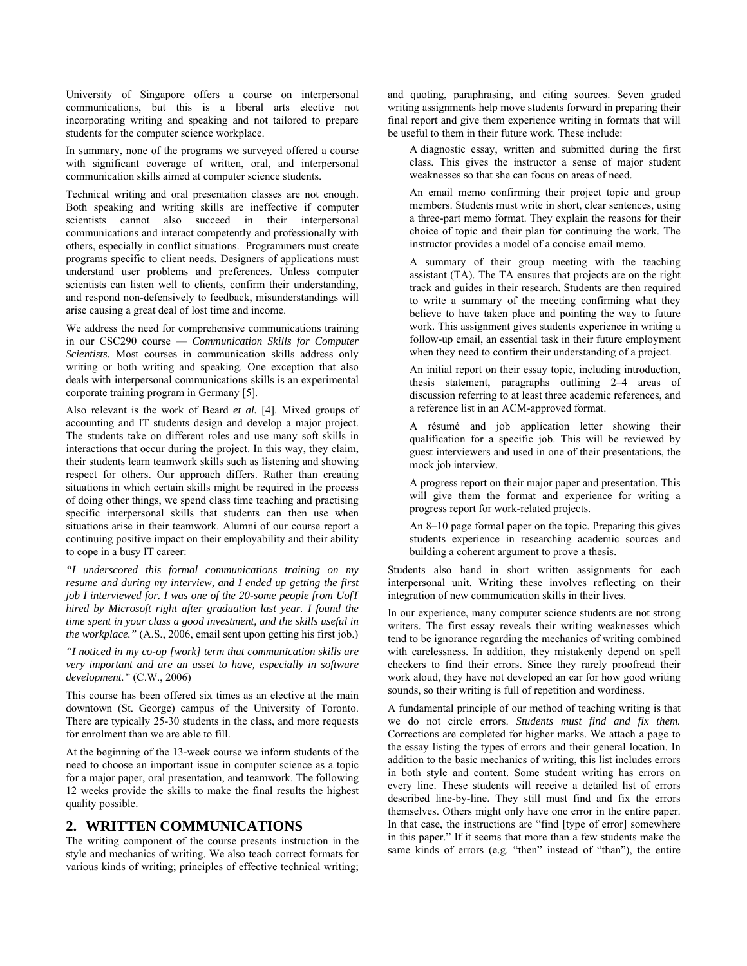University of Singapore offers a course on interpersonal communications, but this is a liberal arts elective not incorporating writing and speaking and not tailored to prepare students for the computer science workplace.

In summary, none of the programs we surveyed offered a course with significant coverage of written, oral, and interpersonal communication skills aimed at computer science students.

Technical writing and oral presentation classes are not enough. Both speaking and writing skills are ineffective if computer scientists cannot also succeed in their interpersonal communications and interact competently and professionally with others, especially in conflict situations. Programmers must create programs specific to client needs. Designers of applications must understand user problems and preferences. Unless computer scientists can listen well to clients, confirm their understanding, and respond non-defensively to feedback, misunderstandings will arise causing a great deal of lost time and income.

We address the need for comprehensive communications training in our CSC290 course — *Communication Skills for Computer Scientists.* Most courses in communication skills address only writing or both writing and speaking. One exception that also deals with interpersonal communications skills is an experimental corporate training program in Germany [5].

Also relevant is the work of Beard *et al.* [4]. Mixed groups of accounting and IT students design and develop a major project. The students take on different roles and use many soft skills in interactions that occur during the project. In this way, they claim, their students learn teamwork skills such as listening and showing respect for others. Our approach differs. Rather than creating situations in which certain skills might be required in the process of doing other things, we spend class time teaching and practising specific interpersonal skills that students can then use when situations arise in their teamwork. Alumni of our course report a continuing positive impact on their employability and their ability to cope in a busy IT career:

*"I underscored this formal communications training on my resume and during my interview, and I ended up getting the first job I interviewed for. I was one of the 20-some people from UofT hired by Microsoft right after graduation last year. I found the time spent in your class a good investment, and the skills useful in the workplace."* (A.S., 2006, email sent upon getting his first job.)

*"I noticed in my co-op [work] term that communication skills are very important and are an asset to have, especially in software development."* (C.W., 2006)

This course has been offered six times as an elective at the main downtown (St. George) campus of the University of Toronto. There are typically 25-30 students in the class, and more requests for enrolment than we are able to fill.

At the beginning of the 13-week course we inform students of the need to choose an important issue in computer science as a topic for a major paper, oral presentation, and teamwork. The following 12 weeks provide the skills to make the final results the highest quality possible.

# **2. WRITTEN COMMUNICATIONS**

The writing component of the course presents instruction in the style and mechanics of writing. We also teach correct formats for various kinds of writing; principles of effective technical writing; and quoting, paraphrasing, and citing sources. Seven graded writing assignments help move students forward in preparing their final report and give them experience writing in formats that will be useful to them in their future work. These include:

 A diagnostic essay, written and submitted during the first class. This gives the instructor a sense of major student weaknesses so that she can focus on areas of need.

 An email memo confirming their project topic and group members. Students must write in short, clear sentences, using a three-part memo format. They explain the reasons for their choice of topic and their plan for continuing the work. The instructor provides a model of a concise email memo.

 A summary of their group meeting with the teaching assistant (TA). The TA ensures that projects are on the right track and guides in their research. Students are then required to write a summary of the meeting confirming what they believe to have taken place and pointing the way to future work. This assignment gives students experience in writing a follow-up email, an essential task in their future employment when they need to confirm their understanding of a project.

 An initial report on their essay topic, including introduction, thesis statement, paragraphs outlining 2–4 areas of discussion referring to at least three academic references, and a reference list in an ACM-approved format.

 A résumé and job application letter showing their qualification for a specific job. This will be reviewed by guest interviewers and used in one of their presentations, the mock job interview.

 A progress report on their major paper and presentation. This will give them the format and experience for writing a progress report for work-related projects.

 An 8–10 page formal paper on the topic. Preparing this gives students experience in researching academic sources and building a coherent argument to prove a thesis.

Students also hand in short written assignments for each interpersonal unit. Writing these involves reflecting on their integration of new communication skills in their lives.

In our experience, many computer science students are not strong writers. The first essay reveals their writing weaknesses which tend to be ignorance regarding the mechanics of writing combined with carelessness. In addition, they mistakenly depend on spell checkers to find their errors. Since they rarely proofread their work aloud, they have not developed an ear for how good writing sounds, so their writing is full of repetition and wordiness.

A fundamental principle of our method of teaching writing is that we do not circle errors. *Students must find and fix them.* Corrections are completed for higher marks. We attach a page to the essay listing the types of errors and their general location. In addition to the basic mechanics of writing, this list includes errors in both style and content. Some student writing has errors on every line. These students will receive a detailed list of errors described line-by-line. They still must find and fix the errors themselves. Others might only have one error in the entire paper. In that case, the instructions are "find [type of error] somewhere in this paper." If it seems that more than a few students make the same kinds of errors (e.g. "then" instead of "than"), the entire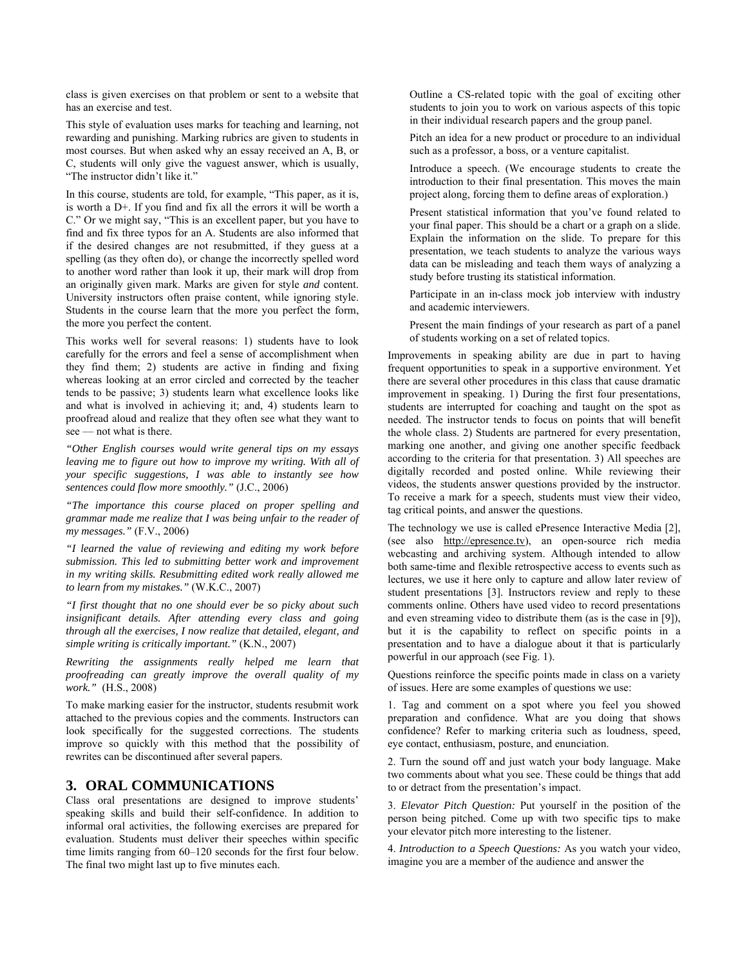class is given exercises on that problem or sent to a website that has an exercise and test.

This style of evaluation uses marks for teaching and learning, not rewarding and punishing. Marking rubrics are given to students in most courses. But when asked why an essay received an A, B, or C, students will only give the vaguest answer, which is usually, "The instructor didn't like it."

In this course, students are told, for example, "This paper, as it is, is worth a D+. If you find and fix all the errors it will be worth a C." Or we might say, "This is an excellent paper, but you have to find and fix three typos for an A. Students are also informed that if the desired changes are not resubmitted, if they guess at a spelling (as they often do), or change the incorrectly spelled word to another word rather than look it up, their mark will drop from an originally given mark. Marks are given for style *and* content. University instructors often praise content, while ignoring style. Students in the course learn that the more you perfect the form, the more you perfect the content.

This works well for several reasons: 1) students have to look carefully for the errors and feel a sense of accomplishment when they find them; 2) students are active in finding and fixing whereas looking at an error circled and corrected by the teacher tends to be passive; 3) students learn what excellence looks like and what is involved in achieving it; and, 4) students learn to proofread aloud and realize that they often see what they want to see — not what is there.

*"Other English courses would write general tips on my essays leaving me to figure out how to improve my writing. With all of your specific suggestions, I was able to instantly see how sentences could flow more smoothly."* (J.C., 2006)

*"The importance this course placed on proper spelling and grammar made me realize that I was being unfair to the reader of my messages."* (F.V., 2006)

*"I learned the value of reviewing and editing my work before submission. This led to submitting better work and improvement in my writing skills. Resubmitting edited work really allowed me to learn from my mistakes."* (W.K.C., 2007)

*"I first thought that no one should ever be so picky about such insignificant details. After attending every class and going through all the exercises, I now realize that detailed, elegant, and simple writing is critically important."* (K.N., 2007)

*Rewriting the assignments really helped me learn that proofreading can greatly improve the overall quality of my work."* (H.S., 2008)

To make marking easier for the instructor, students resubmit work attached to the previous copies and the comments. Instructors can look specifically for the suggested corrections. The students improve so quickly with this method that the possibility of rewrites can be discontinued after several papers.

## **3. ORAL COMMUNICATIONS**

Class oral presentations are designed to improve students' speaking skills and build their self-confidence. In addition to informal oral activities, the following exercises are prepared for evaluation. Students must deliver their speeches within specific time limits ranging from 60–120 seconds for the first four below. The final two might last up to five minutes each.

 Outline a CS-related topic with the goal of exciting other students to join you to work on various aspects of this topic in their individual research papers and the group panel.

 Pitch an idea for a new product or procedure to an individual such as a professor, a boss, or a venture capitalist.

 Introduce a speech. (We encourage students to create the introduction to their final presentation. This moves the main project along, forcing them to define areas of exploration.)

 Present statistical information that you've found related to your final paper. This should be a chart or a graph on a slide. Explain the information on the slide. To prepare for this presentation, we teach students to analyze the various ways data can be misleading and teach them ways of analyzing a study before trusting its statistical information.

 Participate in an in-class mock job interview with industry and academic interviewers.

 Present the main findings of your research as part of a panel of students working on a set of related topics.

Improvements in speaking ability are due in part to having frequent opportunities to speak in a supportive environment. Yet there are several other procedures in this class that cause dramatic improvement in speaking. 1) During the first four presentations, students are interrupted for coaching and taught on the spot as needed. The instructor tends to focus on points that will benefit the whole class. 2) Students are partnered for every presentation, marking one another, and giving one another specific feedback according to the criteria for that presentation. 3) All speeches are digitally recorded and posted online. While reviewing their videos, the students answer questions provided by the instructor. To receive a mark for a speech, students must view their video, tag critical points, and answer the questions.

The technology we use is called ePresence Interactive Media [2], (see also http://epresence.tv), an open-source rich media webcasting and archiving system. Although intended to allow both same-time and flexible retrospective access to events such as lectures, we use it here only to capture and allow later review of student presentations [3]. Instructors review and reply to these comments online. Others have used video to record presentations and even streaming video to distribute them (as is the case in [9]), but it is the capability to reflect on specific points in a presentation and to have a dialogue about it that is particularly powerful in our approach (see Fig. 1).

Questions reinforce the specific points made in class on a variety of issues. Here are some examples of questions we use:

1. Tag and comment on a spot where you feel you showed preparation and confidence. What are you doing that shows confidence? Refer to marking criteria such as loudness, speed, eye contact, enthusiasm, posture, and enunciation.

2. Turn the sound off and just watch your body language. Make two comments about what you see. These could be things that add to or detract from the presentation's impact.

3. *Elevator Pitch Question:* Put yourself in the position of the person being pitched. Come up with two specific tips to make your elevator pitch more interesting to the listener.

4. *Introduction to a Speech Questions:* As you watch your video, imagine you are a member of the audience and answer the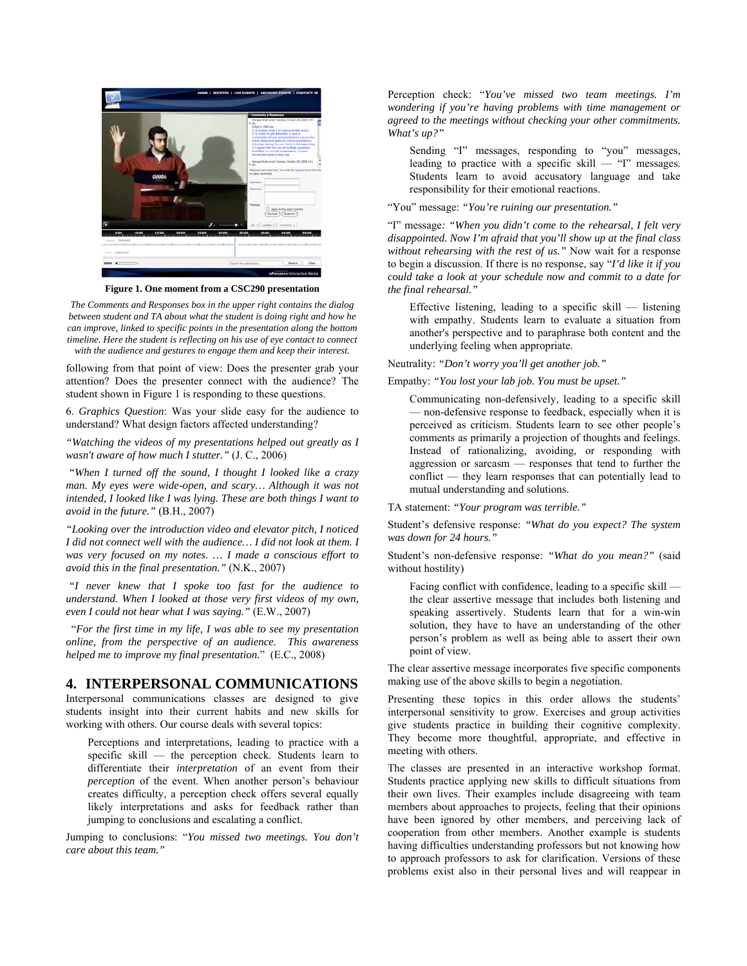

**Figure 1. One moment from a CSC290 presentation** 

*The Comments and Responses box in the upper right contains the dialog between student and TA about what the student is doing right and how he can improve, linked to specific points in the presentation along the bottom timeline. Here the student is reflecting on his use of eye contact to connect with the audience and gestures to engage them and keep their interest.* 

following from that point of view: Does the presenter grab your attention? Does the presenter connect with the audience? The student shown in Figure 1 is responding to these questions.

6. *Graphics Question*: Was your slide easy for the audience to understand? What design factors affected understanding?

*"Watching the videos of my presentations helped out greatly as I wasn't aware of how much I stutter."* (J. C., 2006)

 *"When I turned off the sound, I thought I looked like a crazy man. My eyes were wide-open, and scary… Although it was not intended, I looked like I was lying. These are both things I want to avoid in the future."* (B.H., 2007)

*"Looking over the introduction video and elevator pitch, I noticed I did not connect well with the audience… I did not look at them. I was very focused on my notes. … I made a conscious effort to avoid this in the final presentation."* (N.K., 2007)

 *"I never knew that I spoke too fast for the audience to understand. When I looked at those very first videos of my own, even I could not hear what I was saying."* (E.W., 2007)

 "*For the first time in my life, I was able to see my presentation online, from the perspective of an audience. This awareness helped me to improve my final presentation.*" (E.C., 2008)

# **4. INTERPERSONAL COMMUNICATIONS**

Interpersonal communications classes are designed to give students insight into their current habits and new skills for working with others. Our course deals with several topics:

 Perceptions and interpretations, leading to practice with a specific skill — the perception check. Students learn to differentiate their *interpretation* of an event from their *perception* of the event. When another person's behaviour creates difficulty, a perception check offers several equally likely interpretations and asks for feedback rather than jumping to conclusions and escalating a conflict.

Jumping to conclusions: "*You missed two meetings. You don't care about this team."*

Perception check: "*You've missed two team meetings. I'm wondering if you're having problems with time management or agreed to the meetings without checking your other commitments. What's up?"*

 Sending "I" messages, responding to "you" messages, leading to practice with a specific skill — "I" messages. Students learn to avoid accusatory language and take responsibility for their emotional reactions.

"You" message: *"You're ruining our presentation."*

"I" message*: "When you didn't come to the rehearsal, I felt very disappointed. Now I'm afraid that you'll show up at the final class without rehearsing with the rest of us."* Now wait for a response to begin a discussion. If there is no response, say "*I'd like it if you could take a look at your schedule now and commit to a date for the final rehearsal."*

 Effective listening, leading to a specific skill — listening with empathy. Students learn to evaluate a situation from another's perspective and to paraphrase both content and the underlying feeling when appropriate.

Neutrality: *"Don't worry you'll get another job."*

Empathy: *"You lost your lab job. You must be upset."*

 Communicating non-defensively, leading to a specific skill — non-defensive response to feedback, especially when it is perceived as criticism. Students learn to see other people's comments as primarily a projection of thoughts and feelings. Instead of rationalizing, avoiding, or responding with aggression or sarcasm — responses that tend to further the conflict — they learn responses that can potentially lead to mutual understanding and solutions.

TA statement: *"Your program was terrible."*

Student's defensive response: *"What do you expect? The system was down for 24 hours."*

Student's non-defensive response: *"What do you mean?"* (said without hostility)

 Facing conflict with confidence, leading to a specific skill the clear assertive message that includes both listening and speaking assertively. Students learn that for a win-win solution, they have to have an understanding of the other person's problem as well as being able to assert their own point of view.

The clear assertive message incorporates five specific components making use of the above skills to begin a negotiation.

Presenting these topics in this order allows the students' interpersonal sensitivity to grow. Exercises and group activities give students practice in building their cognitive complexity. They become more thoughtful, appropriate, and effective in meeting with others.

The classes are presented in an interactive workshop format. Students practice applying new skills to difficult situations from their own lives. Their examples include disagreeing with team members about approaches to projects, feeling that their opinions have been ignored by other members, and perceiving lack of cooperation from other members. Another example is students having difficulties understanding professors but not knowing how to approach professors to ask for clarification. Versions of these problems exist also in their personal lives and will reappear in